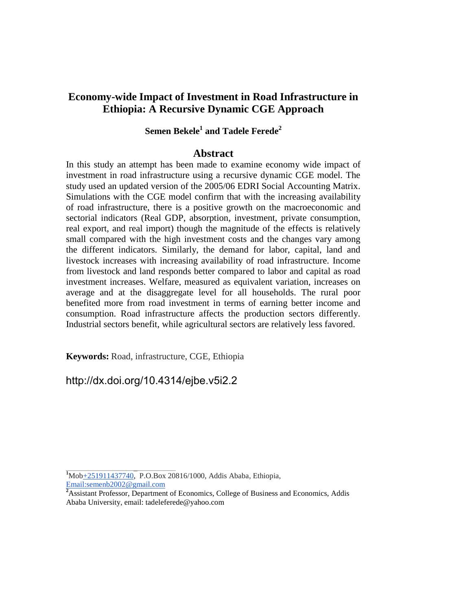#### **Economy-wide Impact of Investment in Road Infrastructure in Ethiopia: A Recursive Dynamic CGE Approach**

#### **Semen Bekele<sup>1</sup> and Tadele Ferede<sup>2</sup>**

#### **Abstract**

In this study an attempt has been made to examine economy wide impact of investment in road infrastructure using a recursive dynamic CGE model. The study used an updated version of the 2005/06 EDRI Social Accounting Matrix. Simulations with the CGE model confirm that with the increasing availability of road infrastructure, there is a positive growth on the macroeconomic and sectorial indicators (Real GDP, absorption, investment, private consumption, real export, and real import) though the magnitude of the effects is relatively small compared with the high investment costs and the changes vary among the different indicators. Similarly, the demand for labor, capital, land and livestock increases with increasing availability of road infrastructure. Income from livestock and land responds better compared to labor and capital as road investment increases. Welfare, measured as equivalent variation, increases on average and at the disaggregate level for all households. The rural poor benefited more from road investment in terms of earning better income and consumption. Road infrastructure affects the production sectors differently. Industrial sectors benefit, while agricultural sectors are relatively less favored.

**Keywords:** Road, infrastructure, CGE, Ethiopia

http://dx.doi.org/10.4314/ejbe.v5i2.2 http://dx.doi.org/10.4314/ejbe.v5i2.2

Email:semenb2002@gmail.com

 $\overline{\phantom{a}}$  , and the contract of the contract of the contract of the contract of the contract of the contract of the contract of the contract of the contract of the contract of the contract of the contract of the contrac

**<sup>1</sup>**Mob+251911437740, P.O.Box 20816/1000, Addis Ababa, Ethiopia,

**<sup>2</sup>**Assistant Professor, Department of Economics, College of Business and Economics, Addis Ababa University, email: tadeleferede@yahoo.com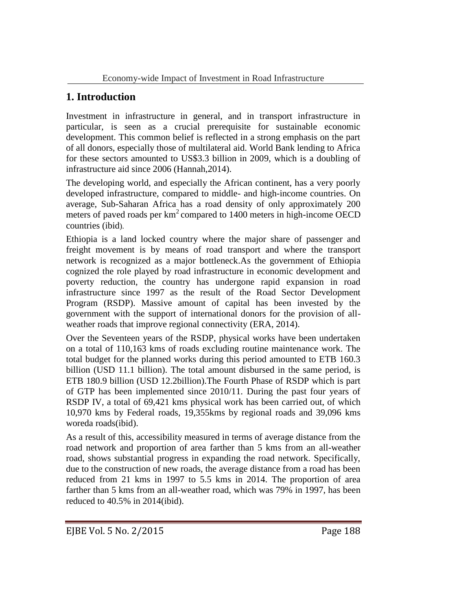# **1. Introduction**

Investment in infrastructure in general, and in transport infrastructure in particular, is seen as a crucial prerequisite for sustainable economic development. This common belief is reflected in a strong emphasis on the part of all donors, especially those of multilateral aid. World Bank lending to Africa for these sectors amounted to US\$3.3 billion in 2009, which is a doubling of infrastructure aid since 2006 (Hannah,2014).

The developing world, and especially the African continent, has a very poorly developed infrastructure, compared to middle- and high-income countries. On average, Sub-Saharan Africa has a road density of only approximately 200 meters of paved roads per  $km^2$  compared to 1400 meters in high-income OECD countries (ibid).

Ethiopia is a land locked country where the major share of passenger and freight movement is by means of road transport and where the transport network is recognized as a major bottleneck.As the government of Ethiopia cognized the role played by road infrastructure in economic development and poverty reduction, the country has undergone rapid expansion in road infrastructure since 1997 as the result of the Road Sector Development Program (RSDP). Massive amount of capital has been invested by the government with the support of international donors for the provision of all weather roads that improve regional connectivity (ERA, 2014).

Over the Seventeen years of the RSDP, physical works have been undertaken on a total of 110,163 kms of roads excluding routine maintenance work. The total budget for the planned works during this period amounted to ETB 160.3 billion (USD 11.1 billion). The total amount disbursed in the same period, is ETB 180.9 billion (USD 12.2billion).The Fourth Phase of RSDP which is part of GTP has been implemented since 2010/11. During the past four years of RSDP IV, a total of 69,421 kms physical work has been carried out, of which 10,970 kms by Federal roads, 19,355kms by regional roads and 39,096 kms woreda roads(ibid).

As a result of this, accessibility measured in terms of average distance from the road network and proportion of area farther than 5 kms from an all-weather road, shows substantial progress in expanding the road network. Specifically, due to the construction of new roads, the average distance from a road has been reduced from 21 kms in 1997 to 5.5 kms in 2014. The proportion of area farther than 5 kms from an all-weather road, which was 79% in 1997, has been reduced to 40.5% in 2014(ibid).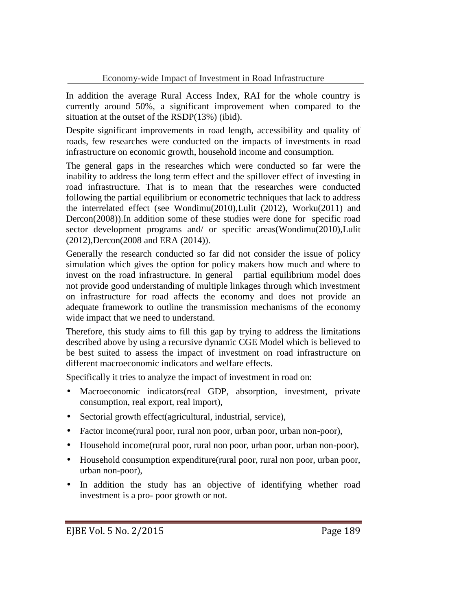In addition the average Rural Access Index, RAI for the whole country is currently around 50%, a significant improvement when compared to the situation at the outset of the RSDP(13%) (ibid).

Despite significant improvements in road length, accessibility and quality of roads, few researches were conducted on the impacts of investments in road infrastructure on economic growth, household income and consumption.

The general gaps in the researches which were conducted so far were the inability to address the long term effect and the spillover effect of investing in road infrastructure. That is to mean that the researches were conducted following the partial equilibrium or econometric techniques that lack to address the interrelated effect (see Wondimu(2010),Lulit (2012), Worku(2011) and Dercon(2008)).In addition some of these studies were done for specific road sector development programs and/ or specific areas(Wondimu(2010),Lulit (2012),Dercon(2008 and ERA (2014)).

Generally the research conducted so far did not consider the issue of policy simulation which gives the option for policy makers how much and where to invest on the road infrastructure. In general partial equilibrium model does not provide good understanding of multiple linkages through which investment on infrastructure for road affects the economy and does not provide an adequate framework to outline the transmission mechanisms of the economy wide impact that we need to understand.

Therefore, this study aims to fill this gap by trying to address the limitations described above by using a recursive dynamic CGE Model which is believed to be best suited to assess the impact of investment on road infrastructure on different macroeconomic indicators and welfare effects.

Specifically it tries to analyze the impact of investment in road on:

- Macroeconomic indicators(real GDP, absorption, investment, private consumption, real export, real import),
- Sectorial growth effect(agricultural, industrial, service),
- Factor income(rural poor, rural non poor, urban poor, urban non-poor),
- Household income(rural poor, rural non poor, urban poor, urban non-poor),
- Household consumption expenditure(rural poor, rural non poor, urban poor, urban non-poor),
- In addition the study has an objective of identifying whether road investment is a pro- poor growth or not.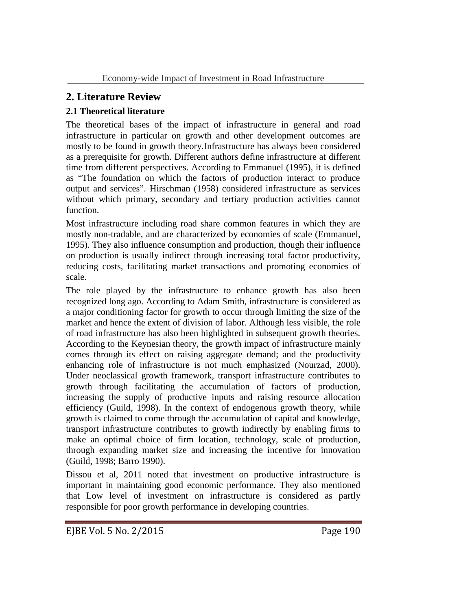## **2. Literature Review**

#### **2.1 Theoretical literature**

The theoretical bases of the impact of infrastructure in general and road infrastructure in particular on growth and other development outcomes are mostly to be found in growth theory.Infrastructure has always been considered as a prerequisite for growth. Different authors define infrastructure at different time from different perspectives. According to Emmanuel (1995), it is defined as "The foundation on which the factors of production interact to produce output and services". Hirschman (1958) considered infrastructure as services without which primary, secondary and tertiary production activities cannot function.

Most infrastructure including road share common features in which they are mostly non-tradable, and are characterized by economies of scale (Emmanuel, 1995). They also influence consumption and production, though their influence on production is usually indirect through increasing total factor productivity, reducing costs, facilitating market transactions and promoting economies of scale.

The role played by the infrastructure to enhance growth has also been recognized long ago. According to Adam Smith, infrastructure is considered as a major conditioning factor for growth to occur through limiting the size of the market and hence the extent of division of labor. Although less visible, the role of road infrastructure has also been highlighted in subsequent growth theories. According to the Keynesian theory, the growth impact of infrastructure mainly comes through its effect on raising aggregate demand; and the productivity enhancing role of infrastructure is not much emphasized (Nourzad, 2000). Under neoclassical growth framework, transport infrastructure contributes to growth through facilitating the accumulation of factors of production, increasing the supply of productive inputs and raising resource allocation efficiency (Guild, 1998). In the context of endogenous growth theory, while growth is claimed to come through the accumulation of capital and knowledge, transport infrastructure contributes to growth indirectly by enabling firms to make an optimal choice of firm location, technology, scale of production, through expanding market size and increasing the incentive for innovation (Guild, 1998; Barro 1990).

Dissou et al, 2011 noted that investment on productive infrastructure is important in maintaining good economic performance. They also mentioned that Low level of investment on infrastructure is considered as partly responsible for poor growth performance in developing countries.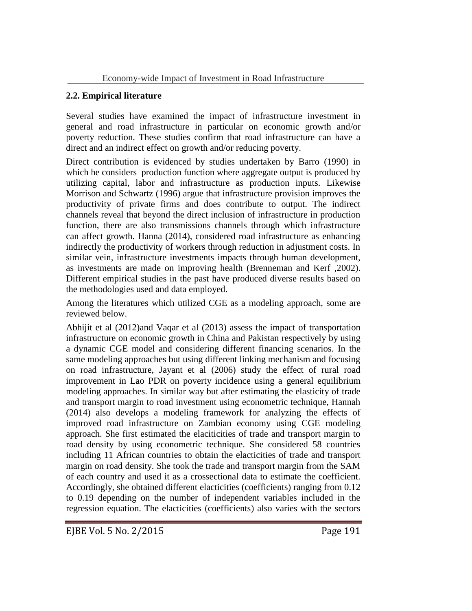#### **2.2. Empirical literature**

Several studies have examined the impact of infrastructure investment in general and road infrastructure in particular on economic growth and/or poverty reduction. These studies confirm that road infrastructure can have a direct and an indirect effect on growth and/or reducing poverty.

Direct contribution is evidenced by studies undertaken by Barro (1990) in which he considers production function where aggregate output is produced by utilizing capital, labor and infrastructure as production inputs. Likewise Morrison and Schwartz (1996) argue that infrastructure provision improves the productivity of private firms and does contribute to output. The indirect channels reveal that beyond the direct inclusion of infrastructure in production function, there are also transmissions channels through which infrastructure can affect growth. Hanna (2014), considered road infrastructure as enhancing indirectly the productivity of workers through reduction in adjustment costs. In similar vein, infrastructure investments impacts through human development, as investments are made on improving health (Brenneman and Kerf ,2002). Different empirical studies in the past have produced diverse results based on the methodologies used and data employed.

Among the literatures which utilized CGE as a modeling approach, some are reviewed below.

Abhijit et al (2012)and Vaqar et al (2013) assess the impact of transportation infrastructure on economic growth in China and Pakistan respectively by using a dynamic CGE model and considering different financing scenarios. In the same modeling approaches but using different linking mechanism and focusing on road infrastructure, Jayant et al (2006) study the effect of rural road improvement in Lao PDR on poverty incidence using a general equilibrium modeling approaches. In similar way but after estimating the elasticity of trade and transport margin to road investment using econometric technique, Hannah (2014) also develops a modeling framework for analyzing the effects of improved road infrastructure on Zambian economy using CGE modeling approach. She first estimated the elaciticities of trade and transport margin to road density by using econometric technique. She considered 58 countries including 11 African countries to obtain the elacticities of trade and transport margin on road density. She took the trade and transport margin from the SAM of each country and used it as a crossectional data to estimate the coefficient. Accordingly, she obtained different elacticities (coefficients) ranging from 0.12 to 0.19 depending on the number of independent variables included in the regression equation. The elacticities (coefficients) also varies with the sectors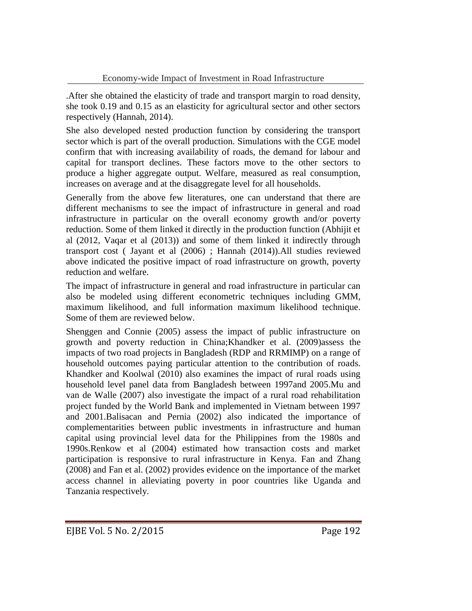.After she obtained the elasticity of trade and transport margin to road density, she took 0.19 and 0.15 as an elasticity for agricultural sector and other sectors respectively (Hannah, 2014).

She also developed nested production function by considering the transport sector which is part of the overall production. Simulations with the CGE model confirm that with increasing availability of roads, the demand for labour and capital for transport declines. These factors move to the other sectors to produce a higher aggregate output. Welfare, measured as real consumption, increases on average and at the disaggregate level for all households.

Generally from the above few literatures, one can understand that there are different mechanisms to see the impact of infrastructure in general and road infrastructure in particular on the overall economy growth and/or poverty reduction. Some of them linked it directly in the production function (Abhijit et al (2012, Vaqar et al (2013)) and some of them linked it indirectly through transport cost ( Jayant et al (2006) ; Hannah (2014)).All studies reviewed above indicated the positive impact of road infrastructure on growth, poverty reduction and welfare.

The impact of infrastructure in general and road infrastructure in particular can also be modeled using different econometric techniques including GMM, maximum likelihood, and full information maximum likelihood technique. Some of them are reviewed below.

Shenggen and Connie (2005) assess the impact of public infrastructure on growth and poverty reduction in China;Khandker et al. (2009)assess the impacts of two road projects in Bangladesh (RDP and RRMIMP) on a range of household outcomes paying particular attention to the contribution of roads. Khandker and Koolwal (2010) also examines the impact of rural roads using household level panel data from Bangladesh between 1997and 2005.Mu and van de Walle (2007) also investigate the impact of a rural road rehabilitation project funded by the World Bank and implemented in Vietnam between 1997 and 2001.Balisacan and Pernia (2002) also indicated the importance of complementarities between public investments in infrastructure and human capital using provincial level data for the Philippines from the 1980s and 1990s.Renkow et al (2004) estimated how transaction costs and market participation is responsive to rural infrastructure in Kenya. Fan and Zhang (2008) and Fan et al. (2002) provides evidence on the importance of the market access channel in alleviating poverty in poor countries like Uganda and Tanzania respectively.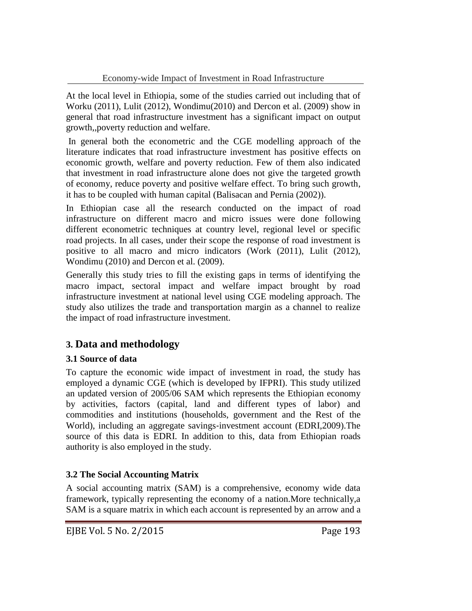At the local level in Ethiopia, some of the studies carried out including that of Worku (2011), Lulit (2012), Wondimu(2010) and Dercon et al. (2009) show in general that road infrastructure investment has a significant impact on output growth,,poverty reduction and welfare.

In general both the econometric and the CGE modelling approach of the literature indicates that road infrastructure investment has positive effects on economic growth, welfare and poverty reduction. Few of them also indicated that investment in road infrastructure alone does not give the targeted growth of economy, reduce poverty and positive welfare effect. To bring such growth, it has to be coupled with human capital (Balisacan and Pernia (2002)).

In Ethiopian case all the research conducted on the impact of road infrastructure on different macro and micro issues were done following different econometric techniques at country level, regional level or specific road projects. In all cases, under their scope the response of road investment is positive to all macro and micro indicators (Work (2011), Lulit (2012), Wondimu (2010) and Dercon et al. (2009).

Generally this study tries to fill the existing gaps in terms of identifying the macro impact, sectoral impact and welfare impact brought by road infrastructure investment at national level using CGE modeling approach. The study also utilizes the trade and transportation margin as a channel to realize the impact of road infrastructure investment.

# **3. Data and methodology**

## **3.1 Source of data**

To capture the economic wide impact of investment in road, the study has employed a dynamic CGE (which is developed by IFPRI). This study utilized an updated version of 2005/06 SAM which represents the Ethiopian economy by activities, factors (capital, land and different types of labor) and commodities and institutions (households, government and the Rest of the World), including an aggregate savings‐investment account (EDRI,2009).The source of this data is EDRI. In addition to this, data from Ethiopian roads authority is also employed in the study.

## **3.2 The Social Accounting Matrix**

A social accounting matrix (SAM) is a comprehensive, economy wide data framework, typically representing the economy of a nation.More technically,a SAM is a square matrix in which each account is represented by an arrow and a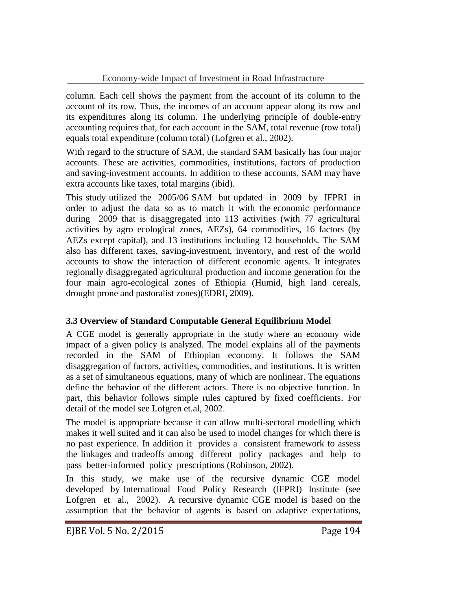column. Each cell shows the payment from the account of its column to the account of its row. Thus, the incomes of an account appear along its row and its expenditures along its column. The underlying principle of double-entry accounting requires that, for each account in the SAM, total revenue (row total) equals total expenditure (column total) (Lofgren et al., 2002).

With regard to the structure of SAM, the standard SAM basically has four major accounts. These are activities, commodities, institutions, factors of production and saving-investment accounts. In addition to these accounts, SAM may have extra accounts like taxes, total margins (ibid).

This study utilized the 2005/06 SAM but updated in 2009 by IFPRI in order to adjust the data so as to match it with the economic performance during 2009 that is disaggregated into 113 activities (with 77 agricultural activities by agro ecological zones, AEZs), 64 commodities, 16 factors (by AEZs except capital), and 13 institutions including 12 households. The SAM also has different taxes, saving-investment, inventory, and rest of the world accounts to show the interaction of different economic agents. It integrates regionally disaggregated agricultural production and income generation for the four main agro-ecological zones of Ethiopia (Humid, high land cereals, drought prone and pastoralist zones)(EDRI, 2009).

### **3.3 Overview of Standard Computable General Equilibrium Model**

A CGE model is generally appropriate in the study where an economy wide impact of a given policy is analyzed. The model explains all of the payments recorded in the SAM of Ethiopian economy. It follows the SAM disaggregation of factors, activities, commodities, and institutions. It is written as a set of simultaneous equations, many of which are nonlinear. The equations define the behavior of the different actors. There is no objective function. In part, this behavior follows simple rules captured by fixed coefficients. For detail of the model see Lofgren et.al, 2002.

The model is appropriate because it can allow multi-sectoral modelling which makes it well suited and it can also be used to model changes for which there is no past experience. In addition it provides a consistent framework to assess the linkages and tradeoffs among different policy packages and help to pass better-informed policy prescriptions (Robinson, 2002).

In this study, we make use of the recursive dynamic CGE model developed by International Food Policy Research (IFPRI) Institute (see Lofgren et al., 2002). A recursive dynamic CGE model is based on the assumption that the behavior of agents is based on adaptive expectations,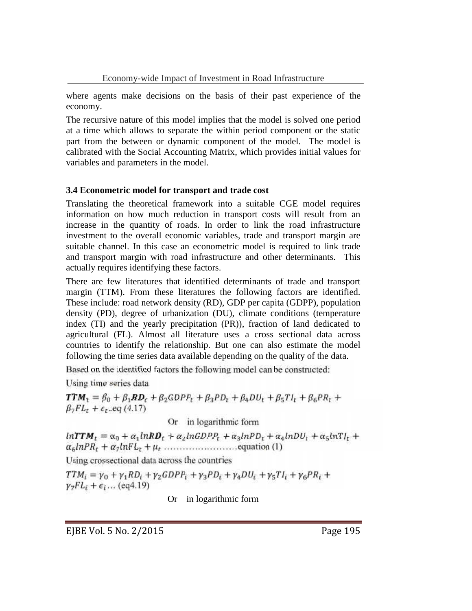where agents make decisions on the basis of their past experience of the economy.

The recursive nature of this model implies that the model is solved one period at a time which allows to separate the within period component or the static part from the between or dynamic component of the model. The model is calibrated with the Social Accounting Matrix, which provides initial values for variables and parameters in the model.

#### **3.4 Econometric model for transport and trade cost**

Translating the theoretical framework into a suitable CGE model requires information on how much reduction in transport costs will result from an increase in the quantity of roads. In order to link the road infrastructure investment to the overall economic variables, trade and transport margin are suitable channel. In this case an econometric model is required to link trade and transport margin with road infrastructure and other determinants. This actually requires identifying these factors.

There are few literatures that identified determinants of trade and transport margin (TTM). From these literatures the following factors are identified. These include: road network density (RD), GDP per capita (GDPP), population density (PD), degree of urbanization (DU), climate conditions (temperature index (TI) and the yearly precipitation (PR)), fraction of land dedicated to agricultural (FL). Almost all literature uses a cross sectional data across countries to identify the relationship. But one can also estimate the model following the time series data available depending on the quality of the data.

Based on the identified factors the following model can be constructed:

Using time series data

 $TTM_t = \beta_0 + \beta_1 R D_t + \beta_2 GDP_t + \beta_3 PD_t + \beta_4 DU_t + \beta_5 T I_t + \beta_6 PR_t +$  $\beta_2 FL_r + \epsilon_r$ ..eq (4.17)

Or in logarithmic form

 $ln\text{TTM}_t = \alpha_0 + \alpha_1 lnRD_t + \alpha_2 lnGDP_t + \alpha_3 lnPD_t + \alpha_4 lnDU_t + \alpha_5 lnT|_t +$ + + ……………………equation (1)

Using crossectional data across the countries

 $TTM_i = \gamma_0 + \gamma_1 RD_i + \gamma_2 GDP_i + \gamma_3 PD_i + \gamma_4 DU_i + \gamma_5 TI_i + \gamma_6 PR_i +$  $\gamma_7 F L_i + \epsilon_i ...$  (eq4.19)

Or in logarithmic form

EIBE Vol. 5 No. 2/2015 Page 195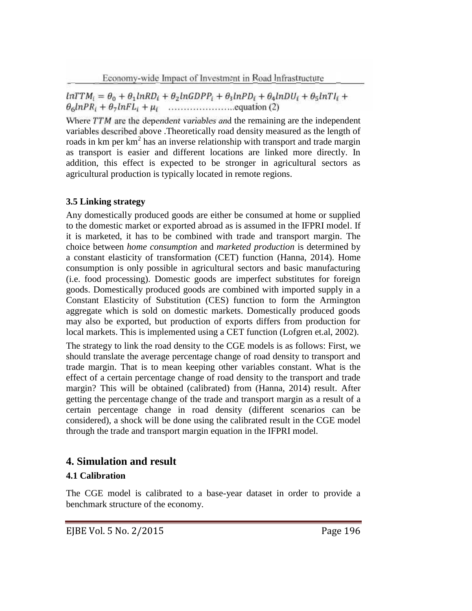$ln T T M_i = \theta_0 + \theta_1 ln R D_i + \theta_2 ln G D P P_i + \theta_3 ln P D_i + \theta_4 ln D U_i + \theta_5 ln T I_i +$ + + ………………….equation (2)

Where  $TTM$  are the dependent variables and the remaining are the independent variables described above .Theoretically road density measured as the length of roads in km per  $km^2$  has an inverse relationship with transport and trade margin as transport is easier and different locations are linked more directly. In addition, this effect is expected to be stronger in agricultural sectors as agricultural production is typically located in remote regions.

#### **3.5 Linking strategy**

Any domestically produced goods are either be consumed at home or supplied to the domestic market or exported abroad as is assumed in the IFPRI model. If it is marketed, it has to be combined with trade and transport margin. The choice between *home consumption* and *marketed production* is determined by a constant elasticity of transformation (CET) function (Hanna, 2014). Home consumption is only possible in agricultural sectors and basic manufacturing (i.e. food processing). Domestic goods are imperfect substitutes for foreign goods. Domestically produced goods are combined with imported supply in a Constant Elasticity of Substitution (CES) function to form the Armington aggregate which is sold on domestic markets. Domestically produced goods may also be exported, but production of exports differs from production for local markets. This is implemented using a CET function (Lofgren et.al, 2002).

The strategy to link the road density to the CGE models is as follows: First, we should translate the average percentage change of road density to transport and trade margin. That is to mean keeping other variables constant. What is the effect of a certain percentage change of road density to the transport and trade margin? This will be obtained (calibrated) from (Hanna, 2014) result. After getting the percentage change of the trade and transport margin as a result of a certain percentage change in road density (different scenarios can be considered), a shock will be done using the calibrated result in the CGE model through the trade and transport margin equation in the IFPRI model.

## **4. Simulation and result**

### **4.1 Calibration**

The CGE model is calibrated to a base-year dataset in order to provide a benchmark structure of the economy.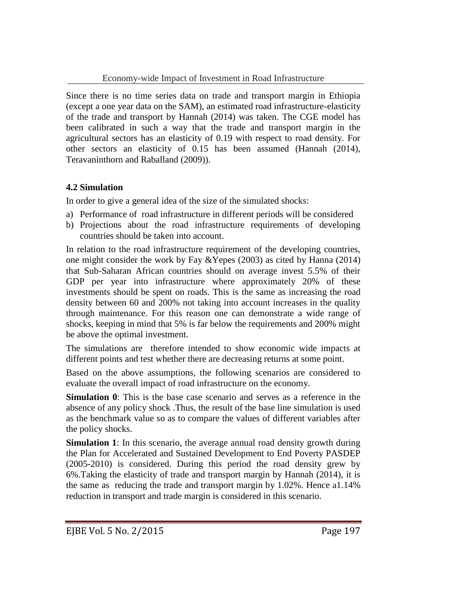Since there is no time series data on trade and transport margin in Ethiopia (except a one year data on the SAM), an estimated road infrastructure-elasticity of the trade and transport by Hannah (2014) was taken. The CGE model has been calibrated in such a way that the trade and transport margin in the agricultural sectors has an elasticity of 0.19 with respect to road density. For other sectors an elasticity of 0.15 has been assumed (Hannah (2014), Teravaninthorn and Raballand (2009)).

#### **4.2 Simulation**

In order to give a general idea of the size of the simulated shocks:

- a) Performance of road infrastructure in different periods will be considered
- b) Projections about the road infrastructure requirements of developing countries should be taken into account.

In relation to the road infrastructure requirement of the developing countries, one might consider the work by Fay &Yepes (2003) as cited by Hanna (2014) that Sub-Saharan African countries should on average invest 5.5% of their GDP per year into infrastructure where approximately 20% of these investments should be spent on roads. This is the same as increasing the road density between 60 and 200% not taking into account increases in the quality through maintenance. For this reason one can demonstrate a wide range of shocks, keeping in mind that 5% is far below the requirements and 200% might be above the optimal investment.

The simulations are therefore intended to show economic wide impacts at different points and test whether there are decreasing returns at some point.

Based on the above assumptions, the following scenarios are considered to evaluate the overall impact of road infrastructure on the economy.

**Simulation 0**: This is the base case scenario and serves as a reference in the absence of any policy shock .Thus, the result of the base line simulation is used as the benchmark value so as to compare the values of different variables after the policy shocks.

**Simulation 1**: In this scenario, the average annual road density growth during the Plan for Accelerated and Sustained Development to End Poverty PASDEP (2005-2010) is considered. During this period the road density grew by 6%.Taking the elasticity of trade and transport margin by Hannah (2014), it is the same as reducing the trade and transport margin by 1.02%. Hence a1.14% reduction in transport and trade margin is considered in this scenario.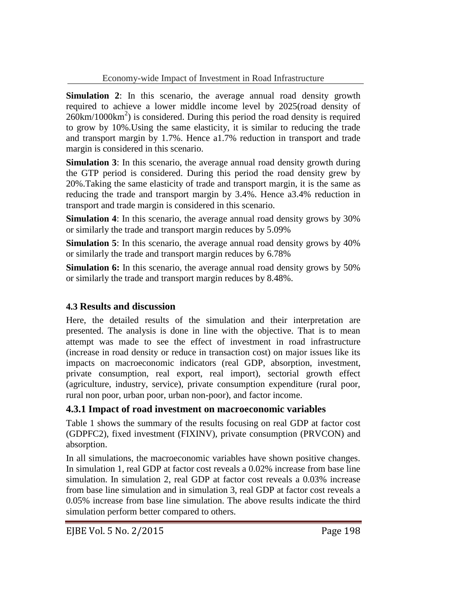**Simulation 2**: In this scenario, the average annual road density growth required to achieve a lower middle income level by 2025(road density of  $260 \text{km}/1000 \text{km}^2$ ) is considered. During this period the road density is required to grow by 10%.Using the same elasticity, it is similar to reducing the trade and transport margin by 1.7%. Hence a1.7% reduction in transport and trade margin is considered in this scenario.

**Simulation 3**: In this scenario, the average annual road density growth during the GTP period is considered. During this period the road density grew by 20%.Taking the same elasticity of trade and transport margin, it is the same as reducing the trade and transport margin by 3.4%. Hence a3.4% reduction in transport and trade margin is considered in this scenario.

**Simulation 4**: In this scenario, the average annual road density grows by 30% or similarly the trade and transport margin reduces by 5.09%

**Simulation 5**: In this scenario, the average annual road density grows by 40% or similarly the trade and transport margin reduces by 6.78%

**Simulation 6:** In this scenario, the average annual road density grows by 50% or similarly the trade and transport margin reduces by 8.48%.

#### **4.3 Results and discussion**

Here, the detailed results of the simulation and their interpretation are presented. The analysis is done in line with the objective. That is to mean attempt was made to see the effect of investment in road infrastructure (increase in road density or reduce in transaction cost) on major issues like its impacts on macroeconomic indicators (real GDP, absorption, investment, private consumption, real export, real import), sectorial growth effect (agriculture, industry, service), private consumption expenditure (rural poor, rural non poor, urban poor, urban non-poor), and factor income.

#### **4.3.1 Impact of road investment on macroeconomic variables**

Table 1 shows the summary of the results focusing on real GDP at factor cost (GDPFC2), fixed investment (FIXINV), private consumption (PRVCON) and absorption.

In all simulations, the macroeconomic variables have shown positive changes. In simulation 1, real GDP at factor cost reveals a 0.02% increase from base line simulation. In simulation 2, real GDP at factor cost reveals a 0.03% increase from base line simulation and in simulation 3, real GDP at factor cost reveals a 0.05% increase from base line simulation. The above results indicate the third simulation perform better compared to others.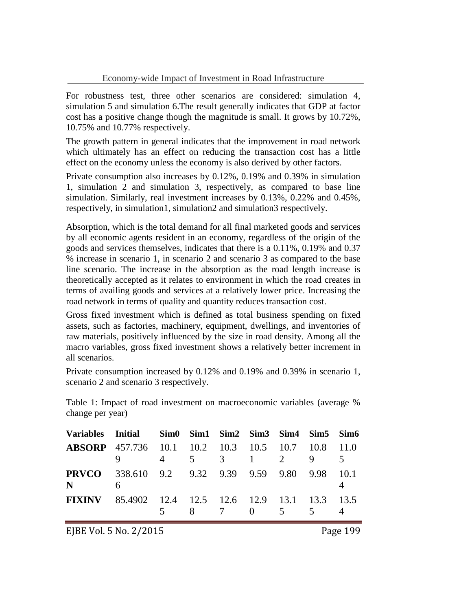For robustness test, three other scenarios are considered: simulation 4, simulation 5 and simulation 6.The result generally indicates that GDP at factor cost has a positive change though the magnitude is small. It grows by 10.72%, 10.75% and 10.77% respectively.

The growth pattern in general indicates that the improvement in road network which ultimately has an effect on reducing the transaction cost has a little effect on the economy unless the economy is also derived by other factors.

Private consumption also increases by 0.12%, 0.19% and 0.39% in simulation 1, simulation 2 and simulation 3, respectively, as compared to base line simulation. Similarly, real investment increases by 0.13%, 0.22% and 0.45%, respectively, in simulation1, simulation2 and simulation3 respectively.

Absorption, which is the total demand for all final marketed goods and services by all economic agents resident in an economy, regardless of the origin of the goods and services themselves, indicates that there is a 0.11%, 0.19% and 0.37 % increase in scenario 1, in scenario 2 and scenario 3 as compared to the base line scenario. The increase in the absorption as the road length increase is theoretically accepted as it relates to environment in which the road creates in terms of availing goods and services at a relatively lower price. Increasing the road network in terms of quality and quantity reduces transaction cost.

Gross fixed investment which is defined as total business spending on fixed assets, such as factories, machinery, equipment, dwellings, and inventories of raw materials, positively influenced by the size in road density. Among all the macro variables, gross fixed investment shows a relatively better increment in all scenarios.

Private consumption increased by 0.12% and 0.19% and 0.39% in scenario 1, scenario 2 and scenario 3 respectively.

| $\alpha$ change por $\gamma$ var $\gamma$                |                 |  |  |  |  |
|----------------------------------------------------------|-----------------|--|--|--|--|
| Variables Initial Sim0 Sim1 Sim2 Sim3 Sim4 Sim5 Sim6     |                 |  |  |  |  |
| <b>ABSORP</b> 457.736 10.1 10.2 10.3 10.5 10.7 10.8 11.0 |                 |  |  |  |  |
|                                                          | 9 4 5 3 1 2 9 5 |  |  |  |  |

7

12.6 12.9  $\overline{0}$ 

5

12.5

9.2 9.32 9.39 9.59 9.80 9.98 10.1

12.9 13.1  $\overline{5}$ 

5 5

Table 1: Impact of road investment on macroeconomic variables (average % change per year)

EIBE Vol. 5 No. 2/2015 Page 199

**PRVCO** 338.610 9.2

**FIXINV** 85.4902 12.4

338.610 6

**N**

4

13.3 13.5 4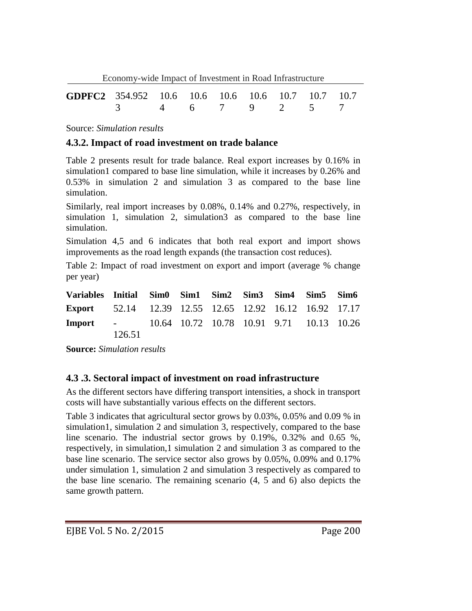| GDPFC2 354.952 10.6 10.6 10.6 10.6 10.7 10.7 10.7 |                 |  |  |  |  |
|---------------------------------------------------|-----------------|--|--|--|--|
|                                                   | 3 4 6 7 9 2 5 7 |  |  |  |  |

Source: *Simulation results*

#### **4.3.2. Impact of road investment on trade balance**

Table 2 presents result for trade balance. Real export increases by 0.16% in simulation1 compared to base line simulation, while it increases by 0.26% and 0.53% in simulation 2 and simulation 3 as compared to the base line simulation.

Similarly, real import increases by 0.08%, 0.14% and 0.27%, respectively, in simulation 1, simulation 2, simulation 3 as compared to the base line simulation.

Simulation 4,5 and 6 indicates that both real export and import shows improvements as the road length expands (the transaction cost reduces).

Table 2: Impact of road investment on export and import (average % change per year)

| Variables Initial Sim0 Sim1 Sim2 Sim3 Sim4 Sim5 Sim6          |        |  |  |  |  |
|---------------------------------------------------------------|--------|--|--|--|--|
| <b>Export</b> 52.14 12.39 12.55 12.65 12.92 16.12 16.92 17.17 |        |  |  |  |  |
| <b>Import</b> - $10.64$ 10.72 10.78 10.91 9.71 10.13 10.26    |        |  |  |  |  |
|                                                               | 126.51 |  |  |  |  |

**Source:** *Simulation results*

#### **4.3 .3. Sectoral impact of investment on road infrastructure**

As the different sectors have differing transport intensities, a shock in transport costs will have substantially various effects on the different sectors.

Table 3 indicates that agricultural sector grows by 0.03%, 0.05% and 0.09 % in simulation1, simulation 2 and simulation 3, respectively, compared to the base line scenario. The industrial sector grows by 0.19%, 0.32% and 0.65 %, respectively, in simulation,1 simulation 2 and simulation 3 as compared to the base line scenario. The service sector also grows by 0.05%, 0.09% and 0.17% under simulation 1, simulation 2 and simulation 3 respectively as compared to the base line scenario. The remaining scenario (4, 5 and 6) also depicts the same growth pattern.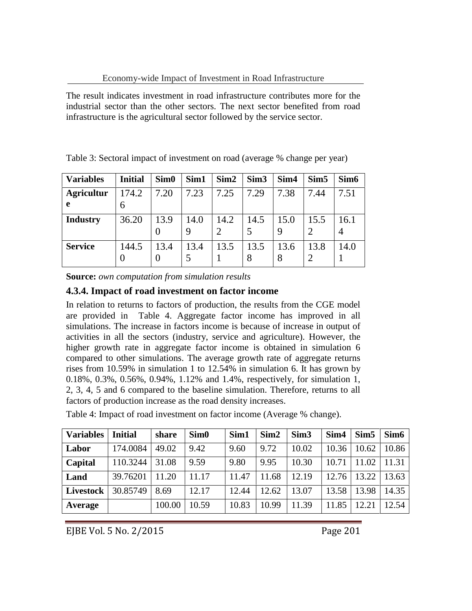The result indicates investment in road infrastructure contributes more for the industrial sector than the other sectors. The next sector benefited from road infrastructure is the agricultural sector followed by the service sector.

| <b>Variables</b>  | <b>Initial</b> | Sim <sub>0</sub> | Sim1 | Sim <sub>2</sub> | Sim <sub>3</sub> | Sim4 | Sim <sub>5</sub> | Sim <sub>6</sub> |
|-------------------|----------------|------------------|------|------------------|------------------|------|------------------|------------------|
| <b>Agricultur</b> | 174.2          | 7.20             | 7.23 | 7.25             | 7.29             | 7.38 | 7.44             | 7.51             |
| e                 | 6              |                  |      |                  |                  |      |                  |                  |
| <b>Industry</b>   | 36.20          | 13.9             | 14.0 | 14.2             | 14.5             | 15.0 | 15.5             | 16.1             |
|                   |                | $\theta$         | 9    | 2                |                  |      |                  | $\overline{4}$   |
| <b>Service</b>    | 144.5          | 13.4             | 13.4 | 13.5             | 13.5             | 13.6 | 13.8             | 14.0             |
|                   | $\theta$       | $\theta$         |      |                  | 8                |      |                  |                  |

Table 3: Sectoral impact of investment on road (average % change per year)

**Source:** *own computation from simulation results*

#### **4.3.4. Impact of road investment on factor income**

In relation to returns to factors of production, the results from the CGE model are provided in Table 4. Aggregate factor income has improved in all simulations. The increase in factors income is because of increase in output of activities in all the sectors (industry, service and agriculture). However, the higher growth rate in aggregate factor income is obtained in simulation 6 compared to other simulations. The average growth rate of aggregate returns rises from 10.59% in simulation 1 to 12.54% in simulation 6. It has grown by 0.18%, 0.3%, 0.56%, 0.94%, 1.12% and 1.4%, respectively, for simulation 1, 2, 3, 4, 5 and 6 compared to the baseline simulation. Therefore, returns to all factors of production increase as the road density increases.

| <b>Variables</b> | <b>Initial</b> | share  | Sim0  | Sim1  | Sim2  | Sim <sub>3</sub> | Sim4  | Sim <sub>5</sub> | Sim <sub>6</sub> |
|------------------|----------------|--------|-------|-------|-------|------------------|-------|------------------|------------------|
| Labor            | 174.0084       | 49.02  | 9.42  | 9.60  | 9.72  | 10.02            | 10.36 | 10.62            | 10.86            |
| Capital          | 110.3244       | 31.08  | 9.59  | 9.80  | 9.95  | 10.30            | 10.71 | 11.02            | 11.31            |
| Land             | 39.76201       | 11.20  | 11.17 | 11.47 | 11.68 | 12.19            | 12.76 | 13.22            | 13.63            |
| Livestock        | 30.85749       | 8.69   | 12.17 | 12.44 | 12.62 | 13.07            | 13.58 | 13.98            | 14.35            |
| Average          |                | 100.00 | 10.59 | 10.83 | 10.99 | 11.39            | 11.85 | 12.21            | 12.54            |

Table 4: Impact of road investment on factor income (Average % change).

EJBE Vol. 5 No. 2/2015 Page 201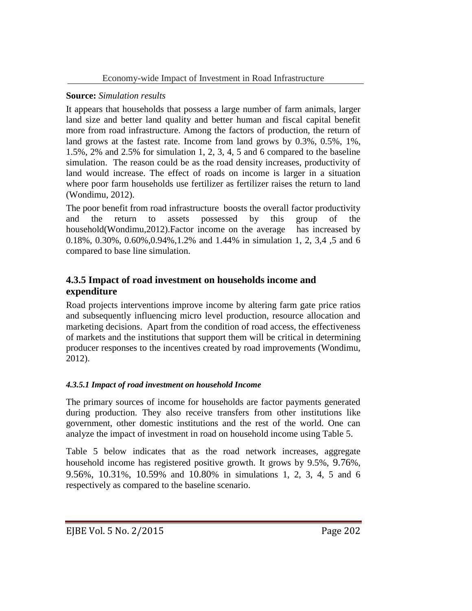#### **Source:** *Simulation results*

It appears that households that possess a large number of farm animals, larger land size and better land quality and better human and fiscal capital benefit more from road infrastructure. Among the factors of production, the return of land grows at the fastest rate. Income from land grows by 0.3%, 0.5%, 1%, 1.5%, 2% and 2.5% for simulation 1, 2, 3, 4, 5 and 6 compared to the baseline simulation. The reason could be as the road density increases, productivity of land would increase. The effect of roads on income is larger in a situation where poor farm households use fertilizer as fertilizer raises the return to land (Wondimu, 2012).

The poor benefit from road infrastructure boosts the overall factor productivity and the return to assets possessed by this group of the household(Wondimu, 2012). Factor income on the average has increased by 0.18%, 0.30%, 0.60%,0.94%,1.2% and 1.44% in simulation 1, 2, 3,4 ,5 and 6 compared to base line simulation.

## **4.3.5 Impact of road investment on households income and expenditure**

Road projects interventions improve income by altering farm gate price ratios and subsequently influencing micro level production, resource allocation and marketing decisions. Apart from the condition of road access, the effectiveness of markets and the institutions that support them will be critical in determining producer responses to the incentives created by road improvements (Wondimu, 2012).

### *4.3.5.1 Impact of road investment on household Income*

The primary sources of income for households are factor payments generated during production. They also receive transfers from other institutions like government, other domestic institutions and the rest of the world. One can analyze the impact of investment in road on household income using Table 5.

Table 5 below indicates that as the road network increases, aggregate household income has registered positive growth. It grows by 9.5%, 9.76%, 9.56%, 10.31%, 10.59% and 10.80% in simulations 1, 2, 3, 4, 5 and 6 respectively as compared to the baseline scenario.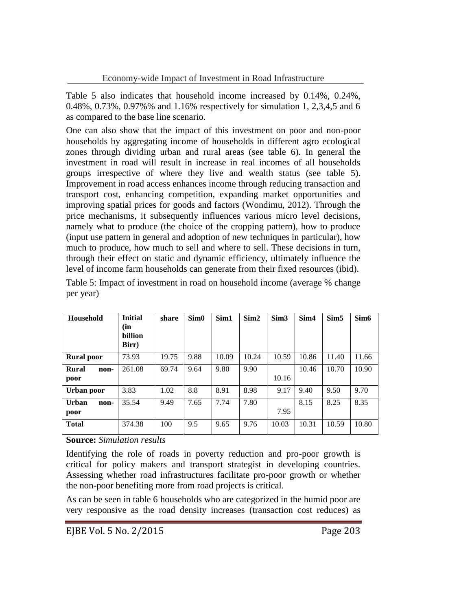Table 5 also indicates that household income increased by 0.14%, 0.24%, 0.48%, 0.73%, 0.97%% and 1.16% respectively for simulation 1, 2,3,4,5 and 6 as compared to the base line scenario.

One can also show that the impact of this investment on poor and non-poor households by aggregating income of households in different agro ecological zones through dividing urban and rural areas (see table 6). In general the investment in road will result in increase in real incomes of all households groups irrespective of where they live and wealth status (see table 5). Improvement in road access enhances income through reducing transaction and transport cost, enhancing competition, expanding market opportunities and improving spatial prices for goods and factors (Wondimu, 2012). Through the price mechanisms, it subsequently influences various micro level decisions, namely what to produce (the choice of the cropping pattern), how to produce (input use pattern in general and adoption of new techniques in particular), how much to produce, how much to sell and where to sell. These decisions in turn, through their effect on static and dynamic efficiency, ultimately influence the level of income farm households can generate from their fixed resources (ibid).

| Household             | <b>Initial</b>          | share | Sim0 | Sim1  | Sim2  | Sim <sub>3</sub> | Sim <sub>4</sub> | Sim <sub>5</sub> | Sim <sub>6</sub> |
|-----------------------|-------------------------|-------|------|-------|-------|------------------|------------------|------------------|------------------|
|                       | (in<br>billion<br>Birr) |       |      |       |       |                  |                  |                  |                  |
| <b>Rural poor</b>     | 73.93                   | 19.75 | 9.88 | 10.09 | 10.24 | 10.59            | 10.86            | 11.40            | 11.66            |
| Rural<br>non-<br>poor | 261.08                  | 69.74 | 9.64 | 9.80  | 9.90  | 10.16            | 10.46            | 10.70            | 10.90            |
| Urban poor            | 3.83                    | 1.02  | 8.8  | 8.91  | 8.98  | 9.17             | 9.40             | 9.50             | 9.70             |
| Urban<br>non-<br>poor | 35.54                   | 9.49  | 7.65 | 7.74  | 7.80  | 7.95             | 8.15             | 8.25             | 8.35             |
| <b>Total</b>          | 374.38                  | 100   | 9.5  | 9.65  | 9.76  | 10.03            | 10.31            | 10.59            | 10.80            |

Table 5: Impact of investment in road on household income (average % change per year)

**Source:** *Simulation results*

Identifying the role of roads in poverty reduction and pro-poor growth is critical for policy makers and transport strategist in developing countries. Assessing whether road infrastructures facilitate pro-poor growth or whether the non-poor benefiting more from road projects is critical.

As can be seen in table 6 households who are categorized in the humid poor are very responsive as the road density increases (transaction cost reduces) as

EJBE Vol. 5 No. 2/2015 Page 203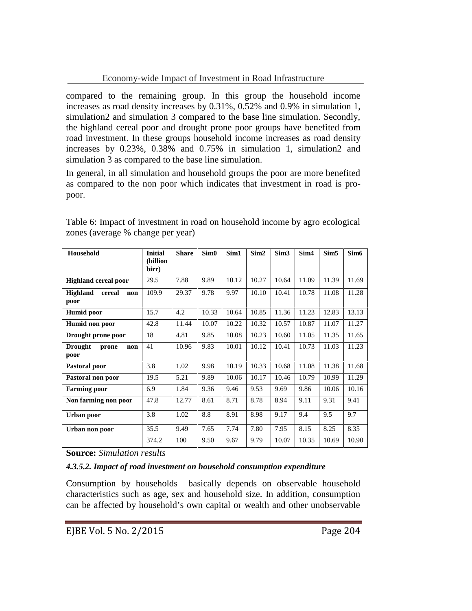compared to the remaining group. In this group the household income increases as road density increases by 0.31%, 0.52% and 0.9% in simulation 1, simulation2 and simulation 3 compared to the base line simulation. Secondly, the highland cereal poor and drought prone poor groups have benefited from road investment. In these groups household income increases as road density increases by 0.23%, 0.38% and 0.75% in simulation 1, simulation2 and simulation 3 as compared to the base line simulation.

In general, in all simulation and household groups the poor are more benefited as compared to the non poor which indicates that investment in road is pro poor.

| Household                                | <b>Initial</b><br>(billion<br>birr) | <b>Share</b> | Sim <sub>0</sub> | Sim1  | Sim2  | Sim <sub>3</sub> | Sim <sub>4</sub> | Sim <sub>5</sub> | Sim <sub>6</sub> |
|------------------------------------------|-------------------------------------|--------------|------------------|-------|-------|------------------|------------------|------------------|------------------|
| <b>Highland cereal poor</b>              | 29.5                                | 7.88         | 9.89             | 10.12 | 10.27 | 10.64            | 11.09            | 11.39            | 11.69            |
| <b>Highland</b><br>cereal<br>non<br>poor | 109.9                               | 29.37        | 9.78             | 9.97  | 10.10 | 10.41            | 10.78            | 11.08            | 11.28            |
| <b>Humid</b> poor                        | 15.7                                | 4.2          | 10.33            | 10.64 | 10.85 | 11.36            | 11.23            | 12.83            | 13.13            |
| Humid non poor                           | 42.8                                | 11.44        | 10.07            | 10.22 | 10.32 | 10.57            | 10.87            | 11.07            | 11.27            |
| Drought prone poor                       | 18                                  | 4.81         | 9.85             | 10.08 | 10.23 | 10.60            | 11.05            | 11.35            | 11.65            |
| <b>Drought</b><br>prone<br>non<br>poor   | 41                                  | 10.96        | 9.83             | 10.01 | 10.12 | 10.41            | 10.73            | 11.03            | 11.23            |
| Pastoral poor                            | 3.8                                 | 1.02         | 9.98             | 10.19 | 10.33 | 10.68            | 11.08            | 11.38            | 11.68            |
| Pastoral non poor                        | 19.5                                | 5.21         | 9.89             | 10.06 | 10.17 | 10.46            | 10.79            | 10.99            | 11.29            |
| <b>Farming poor</b>                      | 6.9                                 | 1.84         | 9.36             | 9.46  | 9.53  | 9.69             | 9.86             | 10.06            | 10.16            |
| Non farming non poor                     | 47.8                                | 12.77        | 8.61             | 8.71  | 8.78  | 8.94             | 9.11             | 9.31             | 9.41             |
| Urban poor                               | 3.8                                 | 1.02         | 8.8              | 8.91  | 8.98  | 9.17             | 9.4              | 9.5              | 9.7              |
| Urban non poor                           | 35.5                                | 9.49         | 7.65             | 7.74  | 7.80  | 7.95             | 8.15             | 8.25             | 8.35             |
|                                          | 374.2                               | 100          | 9.50             | 9.67  | 9.79  | 10.07            | 10.35            | 10.69            | 10.90            |

Table 6: Impact of investment in road on household income by agro ecological zones (average % change per year)

**Source:** *Simulation results*

#### *4.3.5.2. Impact of road investment on household consumption expenditure*

Consumption by households basically depends on observable household characteristics such as age, sex and household size. In addition, consumption can be affected by household's own capital or wealth and other unobservable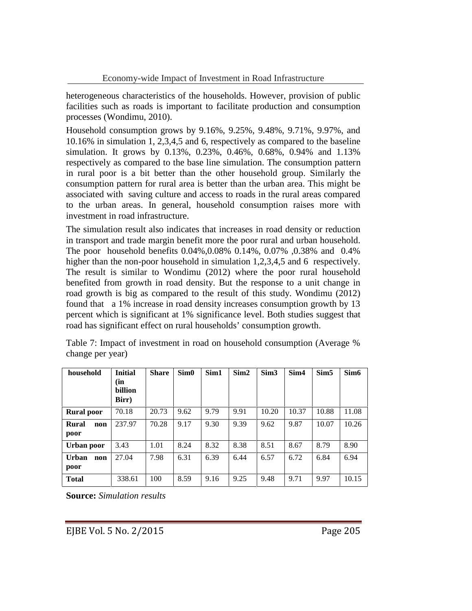heterogeneous characteristics of the households. However, provision of public facilities such as roads is important to facilitate production and consumption processes (Wondimu, 2010).

Household consumption grows by 9.16%, 9.25%, 9.48%, 9.71%, 9.97%, and 10.16% in simulation 1, 2,3,4,5 and 6, respectively as compared to the baseline simulation. It grows by 0.13%, 0.23%, 0.46%, 0.68%, 0.94% and 1.13% respectively as compared to the base line simulation. The consumption pattern in rural poor is a bit better than the other household group. Similarly the consumption pattern for rural area is better than the urban area. This might be associated with saving culture and access to roads in the rural areas compared to the urban areas. In general, household consumption raises more with investment in road infrastructure.

The simulation result also indicates that increases in road density or reduction in transport and trade margin benefit more the poor rural and urban household. The poor household benefits 0.04%,0.08% 0.14%, 0.07% ,0.38% and 0.4% higher than the non-poor household in simulation 1,2,3,4,5 and 6 respectively. The result is similar to Wondimu (2012) where the poor rural household benefited from growth in road density. But the response to a unit change in road growth is big as compared to the result of this study. Wondimu (2012) found that a 1% increase in road density increases consumption growth by 13 percent which is significant at 1% significance level. Both studies suggest that road has significant effect on rural households' consumption growth.

| household                   | <b>Initial</b><br>(in<br>billion<br>Birr) | <b>Share</b> | Sim0 | Sim1 | Sim2 | Sim <sub>3</sub> | Sim <sub>4</sub> | Sim <sub>5</sub> | Sim <sub>6</sub> |
|-----------------------------|-------------------------------------------|--------------|------|------|------|------------------|------------------|------------------|------------------|
| <b>Rural poor</b>           | 70.18                                     | 20.73        | 9.62 | 9.79 | 9.91 | 10.20            | 10.37            | 10.88            | 11.08            |
| <b>Rural</b><br>non<br>poor | 237.97                                    | 70.28        | 9.17 | 9.30 | 9.39 | 9.62             | 9.87             | 10.07            | 10.26            |
| Urban poor                  | 3.43                                      | 1.01         | 8.24 | 8.32 | 8.38 | 8.51             | 8.67             | 8.79             | 8.90             |
| Urban<br>non<br>poor        | 27.04                                     | 7.98         | 6.31 | 6.39 | 6.44 | 6.57             | 6.72             | 6.84             | 6.94             |
| <b>Total</b>                | 338.61                                    | 100          | 8.59 | 9.16 | 9.25 | 9.48             | 9.71             | 9.97             | 10.15            |

Table 7: Impact of investment in road on household consumption (Average % change per year)

**Source:** *Simulation results*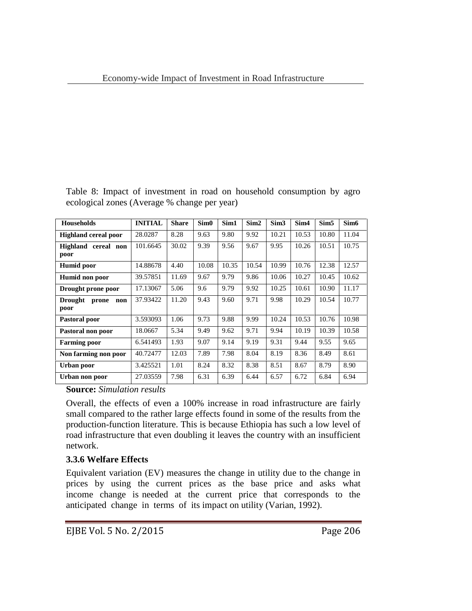Table 8: Impact of investment in road on household consumption by agro ecological zones (Average % change per year)

| <b>Households</b>           | <b>INITIAL</b> | <b>Share</b> | Sim0  | Sim1  | Sim <sub>2</sub> | Sim <sub>3</sub> | Sim <sub>4</sub> | Sim <sub>5</sub> | Sim <sub>6</sub> |
|-----------------------------|----------------|--------------|-------|-------|------------------|------------------|------------------|------------------|------------------|
| <b>Highland cereal poor</b> | 28.0287        | 8.28         | 9.63  | 9.80  | 9.92             | 10.21            | 10.53            | 10.80            | 11.04            |
| Highland cereal non         | 101.6645       | 30.02        | 9.39  | 9.56  | 9.67             | 9.95             | 10.26            | 10.51            | 10.75            |
| poor                        |                |              |       |       |                  |                  |                  |                  |                  |
| Humid poor                  | 14.88678       | 4.40         | 10.08 | 10.35 | 10.54            | 10.99            | 10.76            | 12.38            | 12.57            |
| Humid non poor              | 39.57851       | 11.69        | 9.67  | 9.79  | 9.86             | 10.06            | 10.27            | 10.45            | 10.62            |
| Drought prone poor          | 17.13067       | 5.06         | 9.6   | 9.79  | 9.92             | 10.25            | 10.61            | 10.90            | 11.17            |
| Drought<br>prone<br>non     | 37.93422       | 11.20        | 9.43  | 9.60  | 9.71             | 9.98             | 10.29            | 10.54            | 10.77            |
| poor                        |                |              |       |       |                  |                  |                  |                  |                  |
| Pastoral poor               | 3.593093       | 1.06         | 9.73  | 9.88  | 9.99             | 10.24            | 10.53            | 10.76            | 10.98            |
| Pastoral non poor           | 18.0667        | 5.34         | 9.49  | 9.62  | 9.71             | 9.94             | 10.19            | 10.39            | 10.58            |
| <b>Farming poor</b>         | 6.541493       | 1.93         | 9.07  | 9.14  | 9.19             | 9.31             | 9.44             | 9.55             | 9.65             |
| Non farming non poor        | 40.72477       | 12.03        | 7.89  | 7.98  | 8.04             | 8.19             | 8.36             | 8.49             | 8.61             |
| Urban poor                  | 3.425521       | 1.01         | 8.24  | 8.32  | 8.38             | 8.51             | 8.67             | 8.79             | 8.90             |
| Urban non poor              | 27.03559       | 7.98         | 6.31  | 6.39  | 6.44             | 6.57             | 6.72             | 6.84             | 6.94             |

**Source:** *Simulation results*

Overall, the effects of even a 100% increase in road infrastructure are fairly small compared to the rather large effects found in some of the results from the production-function literature. This is because Ethiopia has such a low level of road infrastructure that even doubling it leaves the country with an insufficient network.

### **3.3.6 Welfare Effects**

Equivalent variation (EV) measures the change in utility due to the change in prices by using the current prices as the base price and asks what income change is needed at the current price that corresponds to the anticipated change in terms of its impact on utility (Varian, 1992).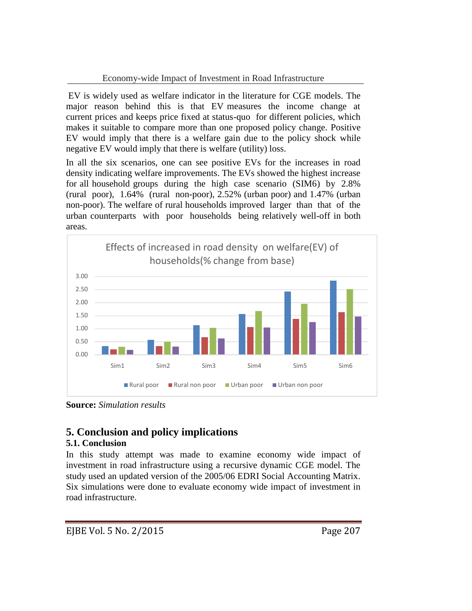Economy-wide Impact of Investment in Road Infrastructure

EV is widely used as welfare indicator in the literature for CGE models. The major reason behind this is that EV measures the income change at current prices and keeps price fixed at status-quo for different policies, which makes it suitable to compare more than one proposed policy change. Positive EV would imply that there is a welfare gain due to the policy shock while negative EV would imply that there is welfare (utility) loss.

In all the six scenarios, one can see positive EVs for the increases in road density indicating welfare improvements. The EVs showed the highest increase for all household groups during the high case scenario (SIM6) by 2.8% (rural poor), 1.64% (rural non-poor), 2.52% (urban poor) and 1.47% (urban non-poor). The welfare of rural households improved larger than that of the urban counterparts with poor households being relatively well-off in both areas.



**Source:** *Simulation results*

## **5. Conclusion and policy implications**

#### **5.1. Conclusion**

In this study attempt was made to examine economy wide impact of investment in road infrastructure using a recursive dynamic CGE model. The study used an updated version of the 2005/06 EDRI Social Accounting Matrix. Six simulations were done to evaluate economy wide impact of investment in road infrastructure.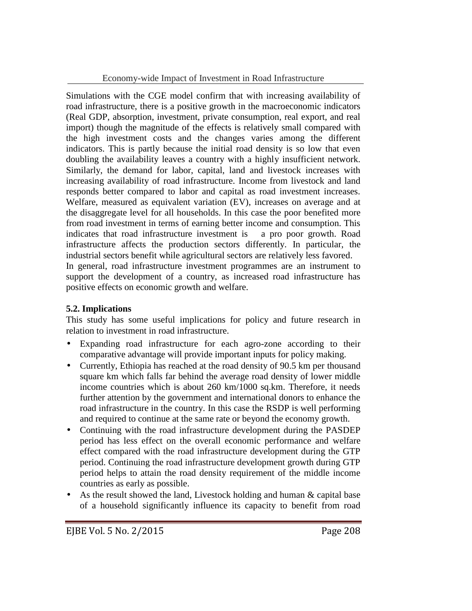Economy-wide Impact of Investment in Road Infrastructure

Simulations with the CGE model confirm that with increasing availability of road infrastructure, there is a positive growth in the macroeconomic indicators (Real GDP, absorption, investment, private consumption, real export, and real import) though the magnitude of the effects is relatively small compared with the high investment costs and the changes varies among the different indicators. This is partly because the initial road density is so low that even doubling the availability leaves a country with a highly insufficient network. Similarly, the demand for labor, capital, land and livestock increases with increasing availability of road infrastructure. Income from livestock and land responds better compared to labor and capital as road investment increases. Welfare, measured as equivalent variation (EV), increases on average and at the disaggregate level for all households. In this case the poor benefited more from road investment in terms of earning better income and consumption. This indicates that road infrastructure investment is a pro poor growth. Road infrastructure affects the production sectors differently. In particular, the industrial sectors benefit while agricultural sectors are relatively less favored. In general, road infrastructure investment programmes are an instrument to

support the development of a country, as increased road infrastructure has positive effects on economic growth and welfare.

#### **5.2. Implications**

This study has some useful implications for policy and future research in relation to investment in road infrastructure.

- Expanding road infrastructure for each agro-zone according to their comparative advantage will provide important inputs for policy making.
- Currently, Ethiopia has reached at the road density of 90.5 km per thousand square km which falls far behind the average road density of lower middle income countries which is about 260 km/1000 sq.km. Therefore, it needs further attention by the government and international donors to enhance the road infrastructure in the country. In this case the RSDP is well performing and required to continue at the same rate or beyond the economy growth.
- Continuing with the road infrastructure development during the PASDEP period has less effect on the overall economic performance and welfare effect compared with the road infrastructure development during the GTP period. Continuing the road infrastructure development growth during GTP period helps to attain the road density requirement of the middle income countries as early as possible.
- As the result showed the land, Livestock holding and human & capital base of a household significantly influence its capacity to benefit from road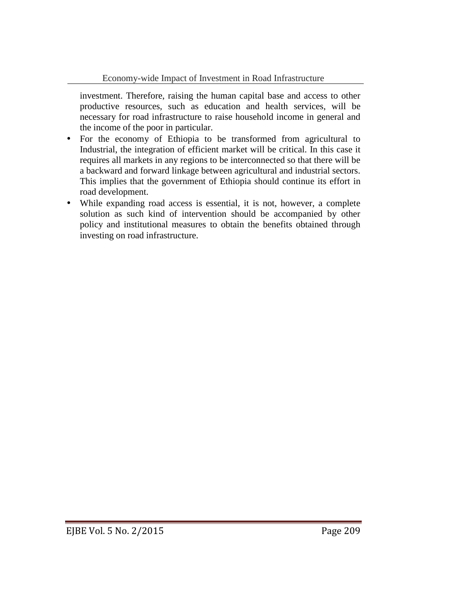investment. Therefore, raising the human capital base and access to other productive resources, such as education and health services, will be necessary for road infrastructure to raise household income in general and the income of the poor in particular.

- For the economy of Ethiopia to be transformed from agricultural to Industrial, the integration of efficient market will be critical. In this case it requires all markets in any regions to be interconnected so that there will be a backward and forward linkage between agricultural and industrial sectors. This implies that the government of Ethiopia should continue its effort in road development.
- While expanding road access is essential, it is not, however, a complete solution as such kind of intervention should be accompanied by other policy and institutional measures to obtain the benefits obtained through investing on road infrastructure.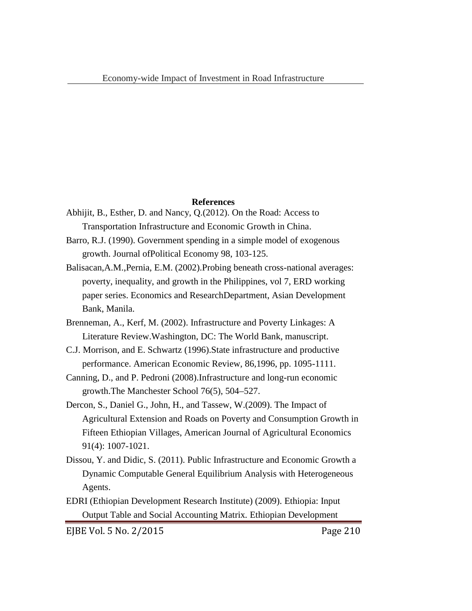#### **References**

- Abhijit, B., Esther, D. and Nancy, Q.(2012). On the Road: Access to Transportation Infrastructure and Economic Growth in China.
- Barro, R.J. (1990). Government spending in a simple model of exogenous growth. Journal ofPolitical Economy 98, 103-125.
- Balisacan,A.M.,Pernia, E.M. (2002).Probing beneath cross-national averages: poverty, inequality, and growth in the Philippines, vol 7, ERD working paper series. Economics and ResearchDepartment, Asian Development Bank, Manila.
- Brenneman, A., Kerf, M. (2002). Infrastructure and Poverty Linkages: A Literature Review.Washington, DC: The World Bank, manuscript.
- C.J. Morrison, and E. Schwartz (1996).State infrastructure and productive performance. American Economic Review, 86,1996, pp. 1095-1111.
- Canning, D., and P. Pedroni (2008).Infrastructure and long-run economic growth.The Manchester School 76(5), 504–527.
- Dercon, S., Daniel G., John, H., and Tassew, W.(2009). The Impact of Agricultural Extension and Roads on Poverty and Consumption Growth in Fifteen Ethiopian Villages, American Journal of Agricultural Economics 91(4): 1007-1021.
- Dissou, Y. and Didic, S. (2011). Public Infrastructure and Economic Growth a Dynamic Computable General Equilibrium Analysis with Heterogeneous Agents.
- EDRI (Ethiopian Development Research Institute) (2009). Ethiopia: Input Output Table and Social Accounting Matrix*.* Ethiopian Development

EJBE Vol. 5 No. 2/2015 Page 210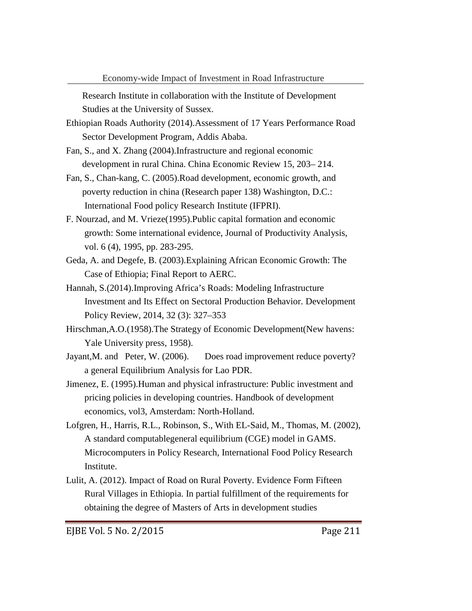Research Institute in collaboration with the Institute of Development Studies at the University of Sussex.

- Ethiopian Roads Authority (2014).Assessment of 17 Years Performance Road Sector Development Program, Addis Ababa.
- Fan, S., and X. Zhang (2004).Infrastructure and regional economic development in rural China. China Economic Review 15, 203– 214.
- Fan, S., Chan-kang, C. (2005).Road development, economic growth, and poverty reduction in china (Research paper 138) Washington, D.C.: International Food policy Research Institute (IFPRI).
- F. Nourzad, and M. Vrieze(1995).Public capital formation and economic growth: Some international evidence, Journal of Productivity Analysis, vol. 6 (4), 1995, pp. 283-295.
- Geda, A. and Degefe, B. (2003).Explaining African Economic Growth: The Case of Ethiopia; Final Report to AERC.
- Hannah, S.(2014).Improving Africa's Roads: Modeling Infrastructure Investment and Its Effect on Sectoral Production Behavior. Development Policy Review, 2014, 32 (3): 327–353
- Hirschman,A.O.(1958).The Strategy of Economic Development(New havens: Yale University press, 1958).
- Jayant,M. and Peter, W. (2006). Does road improvement reduce poverty? a general Equilibrium Analysis for Lao PDR.
- Jimenez, E. (1995).Human and physical infrastructure: Public investment and pricing policies in developing countries. Handbook of development economics, vol3, Amsterdam: North-Holland.
- Lofgren, H., Harris, R.L., Robinson, S., With EL-Said, M., Thomas, M. (2002), A standard computablegeneral equilibrium (CGE) model in GAMS. Microcomputers in Policy Research, International Food Policy Research Institute.
- Lulit, A. (2012). Impact of Road on Rural Poverty. Evidence Form Fifteen Rural Villages in Ethiopia. In partial fulfillment of the requirements for obtaining the degree of Masters of Arts in development studies

EIBE Vol. 5 No. 2/2015 Page 211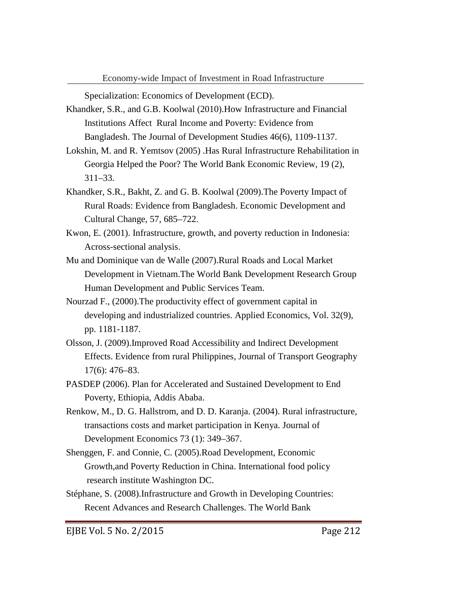Specialization: Economics of Development (ECD).

- Khandker, S.R., and G.B. Koolwal (2010).How Infrastructure and Financial Institutions Affect Rural Income and Poverty: Evidence from Bangladesh. The Journal of Development Studies 46(6), 1109-1137.
- Lokshin, M. and R. Yemtsov (2005) .Has Rural Infrastructure Rehabilitation in Georgia Helped the Poor? The World Bank Economic Review, 19 (2), 311–33.
- Khandker, S.R., Bakht, Z. and G. B. Koolwal (2009).The Poverty Impact of Rural Roads: Evidence from Bangladesh. Economic Development and Cultural Change, 57, 685–722.
- Kwon, E. (2001). Infrastructure, growth, and poverty reduction in Indonesia: Across-sectional analysis.
- Mu and Dominique van de Walle (2007).Rural Roads and Local Market Development in Vietnam.The World Bank Development Research Group Human Development and Public Services Team.
- Nourzad F., (2000).The productivity effect of government capital in developing and industrialized countries. Applied Economics, Vol. 32(9), pp. 1181-1187.
- Olsson, J. (2009).Improved Road Accessibility and Indirect Development Effects. Evidence from rural Philippines, Journal of Transport Geography 17(6): 476–83.
- PASDEP (2006). Plan for Accelerated and Sustained Development to End Poverty, Ethiopia, Addis Ababa.
- Renkow, M., D. G. Hallstrom, and D. D. Karanja. (2004). Rural infrastructure, transactions costs and market participation in Kenya. Journal of Development Economics 73 (1): 349–367.
- Shenggen, F. and Connie, C. (2005).Road Development, Economic Growth,and Poverty Reduction in China. International food policy research institute Washington DC.
- Stéphane, S. (2008).Infrastructure and Growth in Developing Countries: Recent Advances and Research Challenges. The World Bank

EIBE Vol. 5 No. 2/2015 Page 212